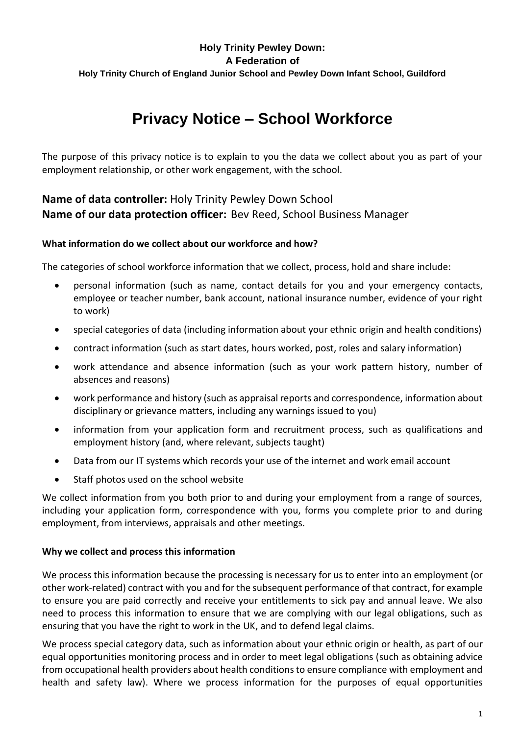## **Holy Trinity Pewley Down: A Federation of Holy Trinity Church of England Junior School and Pewley Down Infant School, Guildford**

# **Privacy Notice – School Workforce**

The purpose of this privacy notice is to explain to you the data we collect about you as part of your employment relationship, or other work engagement, with the school.

# **Name of data controller:** Holy Trinity Pewley Down School **Name of our data protection officer:** Bev Reed, School Business Manager

### **What information do we collect about our workforce and how?**

The categories of school workforce information that we collect, process, hold and share include:

- personal information (such as name, contact details for you and your emergency contacts, employee or teacher number, bank account, national insurance number, evidence of your right to work)
- special categories of data (including information about your ethnic origin and health conditions)
- contract information (such as start dates, hours worked, post, roles and salary information)
- work attendance and absence information (such as your work pattern history, number of absences and reasons)
- work performance and history (such as appraisal reports and correspondence, information about disciplinary or grievance matters, including any warnings issued to you)
- information from your application form and recruitment process, such as qualifications and employment history (and, where relevant, subjects taught)
- Data from our IT systems which records your use of the internet and work email account
- Staff photos used on the school website

We collect information from you both prior to and during your employment from a range of sources, including your application form, correspondence with you, forms you complete prior to and during employment, from interviews, appraisals and other meetings.

#### **Why we collect and process this information**

We process this information because the processing is necessary for us to enter into an employment (or other work-related) contract with you and for the subsequent performance of that contract, for example to ensure you are paid correctly and receive your entitlements to sick pay and annual leave. We also need to process this information to ensure that we are complying with our legal obligations, such as ensuring that you have the right to work in the UK, and to defend legal claims.

We process special category data, such as information about your ethnic origin or health, as part of our equal opportunities monitoring process and in order to meet legal obligations (such as obtaining advice from occupational health providers about health conditions to ensure compliance with employment and health and safety law). Where we process information for the purposes of equal opportunities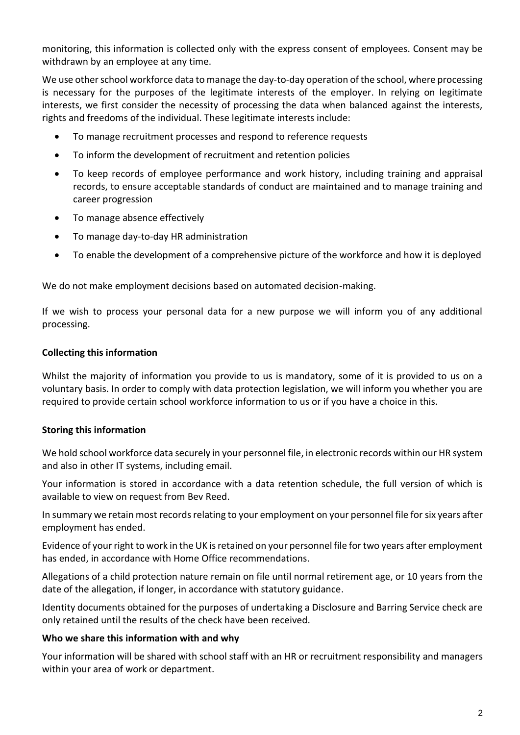monitoring, this information is collected only with the express consent of employees. Consent may be withdrawn by an employee at any time.

We use other school workforce data to manage the day-to-day operation of the school, where processing is necessary for the purposes of the legitimate interests of the employer. In relying on legitimate interests, we first consider the necessity of processing the data when balanced against the interests, rights and freedoms of the individual. These legitimate interests include:

- To manage recruitment processes and respond to reference requests
- To inform the development of recruitment and retention policies
- To keep records of employee performance and work history, including training and appraisal records, to ensure acceptable standards of conduct are maintained and to manage training and career progression
- To manage absence effectively
- To manage day-to-day HR administration
- To enable the development of a comprehensive picture of the workforce and how it is deployed

We do not make employment decisions based on automated decision-making.

If we wish to process your personal data for a new purpose we will inform you of any additional processing.

#### **Collecting this information**

Whilst the majority of information you provide to us is mandatory, some of it is provided to us on a voluntary basis. In order to comply with data protection legislation, we will inform you whether you are required to provide certain school workforce information to us or if you have a choice in this.

#### **Storing this information**

We hold school workforce data securely in your personnel file, in electronic records within our HR system and also in other IT systems, including email.

Your information is stored in accordance with a data retention schedule, the full version of which is available to view on request from Bev Reed.

In summary we retain most records relating to your employment on your personnel file for six years after employment has ended.

Evidence of your right to work in the UK is retained on your personnel file for two years after employment has ended, in accordance with Home Office recommendations.

Allegations of a child protection nature remain on file until normal retirement age, or 10 years from the date of the allegation, if longer, in accordance with statutory guidance.

Identity documents obtained for the purposes of undertaking a Disclosure and Barring Service check are only retained until the results of the check have been received.

#### **Who we share this information with and why**

Your information will be shared with school staff with an HR or recruitment responsibility and managers within your area of work or department.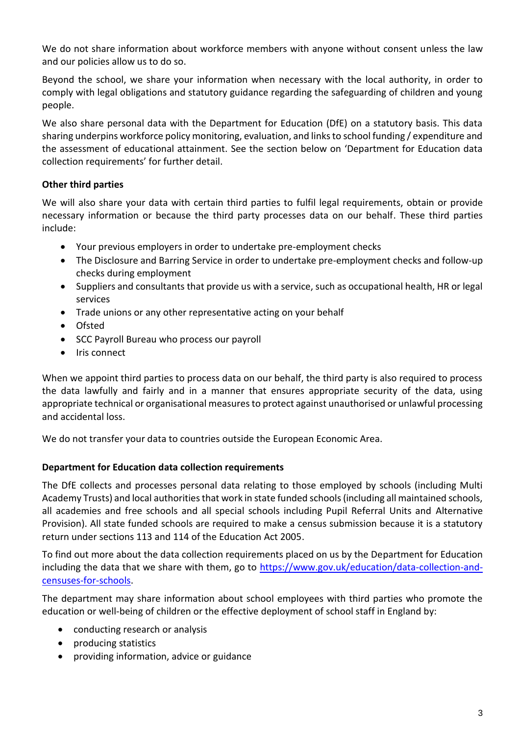We do not share information about workforce members with anyone without consent unless the law and our policies allow us to do so.

Beyond the school, we share your information when necessary with the local authority, in order to comply with legal obligations and statutory guidance regarding the safeguarding of children and young people.

We also share personal data with the Department for Education (DfE) on a statutory basis. This data sharing underpins workforce policy monitoring, evaluation, and links to school funding / expenditure and the assessment of educational attainment. See the section below on 'Department for Education data collection requirements' for further detail.

## **Other third parties**

We will also share your data with certain third parties to fulfil legal requirements, obtain or provide necessary information or because the third party processes data on our behalf. These third parties include:

- Your previous employers in order to undertake pre-employment checks
- The Disclosure and Barring Service in order to undertake pre-employment checks and follow-up checks during employment
- Suppliers and consultants that provide us with a service, such as occupational health, HR or legal services
- Trade unions or any other representative acting on your behalf
- Ofsted
- SCC Payroll Bureau who process our payroll
- Iris connect

When we appoint third parties to process data on our behalf, the third party is also required to process the data lawfully and fairly and in a manner that ensures appropriate security of the data, using appropriate technical or organisational measures to protect against unauthorised or unlawful processing and accidental loss.

We do not transfer your data to countries outside the European Economic Area.

# **Department for Education data collection requirements**

The DfE collects and processes personal data relating to those employed by schools (including Multi Academy Trusts) and local authorities that work in state funded schools (including all maintained schools, all academies and free schools and all special schools including Pupil Referral Units and Alternative Provision). All state funded schools are required to make a census submission because it is a statutory return under sections 113 and 114 of the Education Act 2005.

To find out more about the data collection requirements placed on us by the Department for Education including the data that we share with them, go to [https://www.gov.uk/education/data-collection-and](https://www.gov.uk/education/data-collection-and-censuses-for-schools)[censuses-for-schools.](https://www.gov.uk/education/data-collection-and-censuses-for-schools)

The department may share information about school employees with third parties who promote the education or well-being of children or the effective deployment of school staff in England by:

- conducting research or analysis
- producing statistics
- providing information, advice or guidance